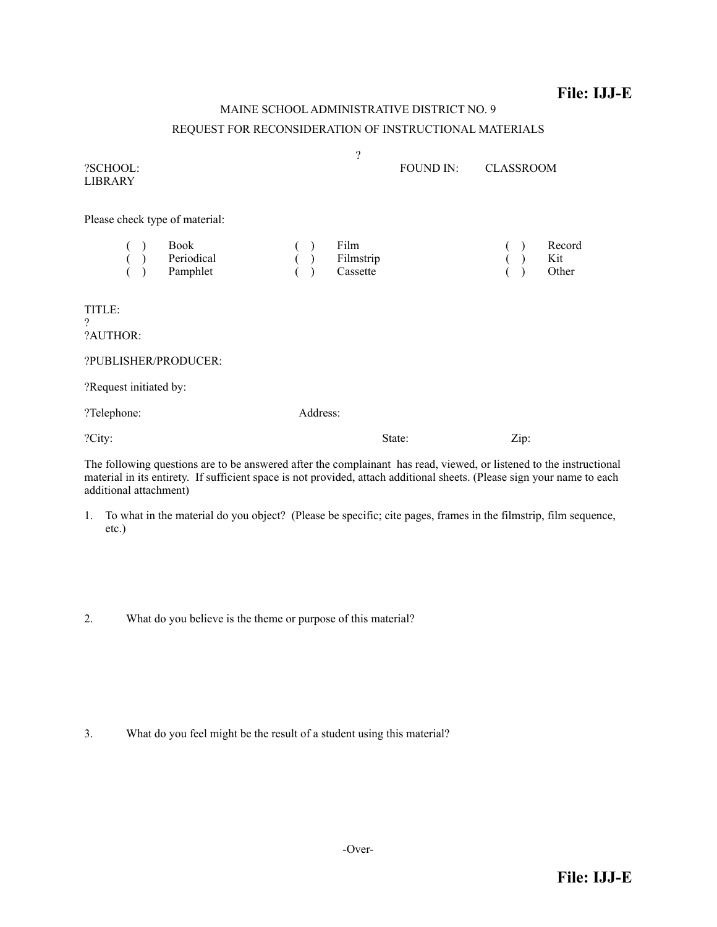## **File: IJJ-E**

## MAINE SCHOOL ADMINISTRATIVE DISTRICT NO. 9 REQUEST FOR RECONSIDERATION OF INSTRUCTIONAL MATERIALS

| ?SCHOOL:<br><b>LIBRARY</b>                                            | $\overline{\mathcal{L}}$                   | <b>FOUND IN:</b> | <b>CLASSROOM</b> |
|-----------------------------------------------------------------------|--------------------------------------------|------------------|------------------|
| Please check type of material:<br>Book                                | Film                                       |                  | Record<br>Kit    |
| $\begin{pmatrix} 0 & 1 \\ 0 & 1 \end{pmatrix}$ Periodical<br>Pamphlet | $( )$<br>$( )$ Filmstrip<br>$( )$ Cassette |                  | Other            |
| TITLE:<br>$\gamma$<br>?AUTHOR:                                        |                                            |                  |                  |
| ?PUBLISHER/PRODUCER:                                                  |                                            |                  |                  |
| ?Request initiated by:                                                |                                            |                  |                  |
| ?Telephone:                                                           | Address:                                   |                  |                  |
| ?City:                                                                | State:                                     |                  | Zip:             |
|                                                                       |                                            |                  |                  |

The following questions are to be answered after the complainant has read, viewed, or listened to the instructional material in its entirety. If sufficient space is not provided, attach additional sheets. (Please sign your name to each additional attachment)

- 1. To what in the material do you object? (Please be specific; cite pages, frames in the filmstrip, film sequence, etc.)
- 2. What do you believe is the theme or purpose of this material?

3. What do you feel might be the result of a student using this material?